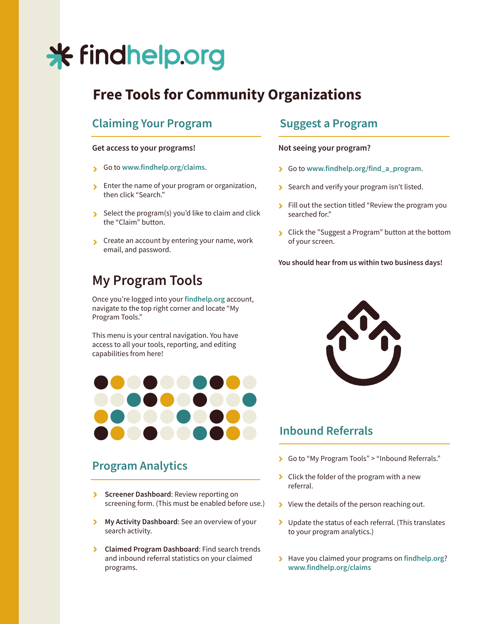# \* findhelp.org

# **Free Tools for Community Organizations**

### **Claiming Your Program**

#### **Get access to your programs! Not seeing your program?**

- Go to **www.findhelp.org/claims**.
- **Enter the name of your program or organization,** then click "Search."
- Select the program(s) you'd like to claim and click the "Claim" button.
- S Create an account by entering your name, work email, and password.

## **My Program Tools**

Once you're logged into your **findhelp.org** account, navigate to the top right corner and locate "My Program Tools."

This menu is your central navigation. You have access to all your tools, reporting, and editing capabilities from here!



### **Program Analytics**

- **Screener Dashboard: Review reporting on** screening form. (This must be enabled before use.)
- **My Activity Dashboard:** See an overview of your search activity.
- **Claimed Program Dashboard**: Find search trends and inbound referral statistics on your claimed programs.

#### **Suggest a Program**

- Go to **www.findhelp.org/find\_a\_program**.
- Search and verify your program isn't listed.
- Fill out the section titled "Review the program you searched for."
- Click the "Suggest a Program" button at the bottom of your screen.

**You should hear from us within two business days!**



#### **Inbound Referrals**

- Go to "My Program Tools" > "Inbound Referrals."
- S Click the folder of the program with a new referral.
- If  $\triangleright$  View the details of the person reaching out.
- Dupdate the status of each referral. (This translates to your program analytics.)
- Have you claimed your programs on **findhelp.org**? **www.findhelp.org/claims**